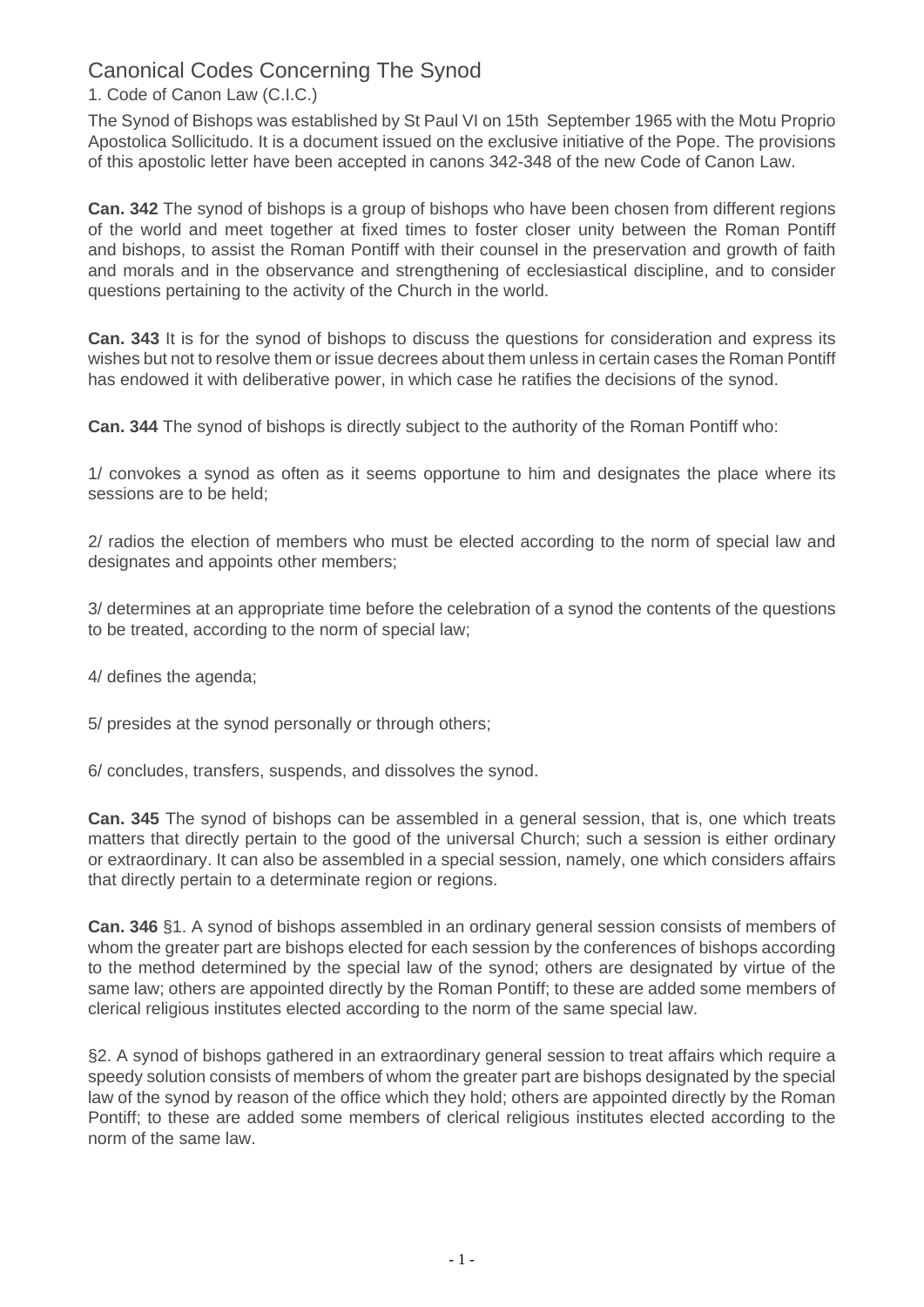Canonical Codes Concerning The Synod

## 1. Code of Canon Law (C.I.C.)

The Synod of Bishops was established by St Paul VI on 15th September 1965 with the Motu Proprio Apostolica Sollicitudo. It is a document issued on the exclusive initiative of the Pope. The provisions of this apostolic letter have been accepted in canons 342-348 of the new Code of Canon Law.

**Can. 342** The synod of bishops is a group of bishops who have been chosen from different regions of the world and meet together at fixed times to foster closer unity between the Roman Pontiff and bishops, to assist the Roman Pontiff with their counsel in the preservation and growth of faith and morals and in the observance and strengthening of ecclesiastical discipline, and to consider questions pertaining to the activity of the Church in the world.

**Can. 343** It is for the synod of bishops to discuss the questions for consideration and express its wishes but not to resolve them or issue decrees about them unless in certain cases the Roman Pontiff has endowed it with deliberative power, in which case he ratifies the decisions of the synod.

**Can. 344** The synod of bishops is directly subject to the authority of the Roman Pontiff who:

1/ convokes a synod as often as it seems opportune to him and designates the place where its sessions are to be held;

2/ radios the election of members who must be elected according to the norm of special law and designates and appoints other members;

3/ determines at an appropriate time before the celebration of a synod the contents of the questions to be treated, according to the norm of special law;

4/ defines the agenda;

5/ presides at the synod personally or through others;

6/ concludes, transfers, suspends, and dissolves the synod.

**Can. 345** The synod of bishops can be assembled in a general session, that is, one which treats matters that directly pertain to the good of the universal Church; such a session is either ordinary or extraordinary. It can also be assembled in a special session, namely, one which considers affairs that directly pertain to a determinate region or regions.

**Can. 346** §1. A synod of bishops assembled in an ordinary general session consists of members of whom the greater part are bishops elected for each session by the conferences of bishops according to the method determined by the special law of the synod; others are designated by virtue of the same law; others are appointed directly by the Roman Pontiff; to these are added some members of clerical religious institutes elected according to the norm of the same special law.

§2. A synod of bishops gathered in an extraordinary general session to treat affairs which require a speedy solution consists of members of whom the greater part are bishops designated by the special law of the synod by reason of the office which they hold; others are appointed directly by the Roman Pontiff; to these are added some members of clerical religious institutes elected according to the norm of the same law.